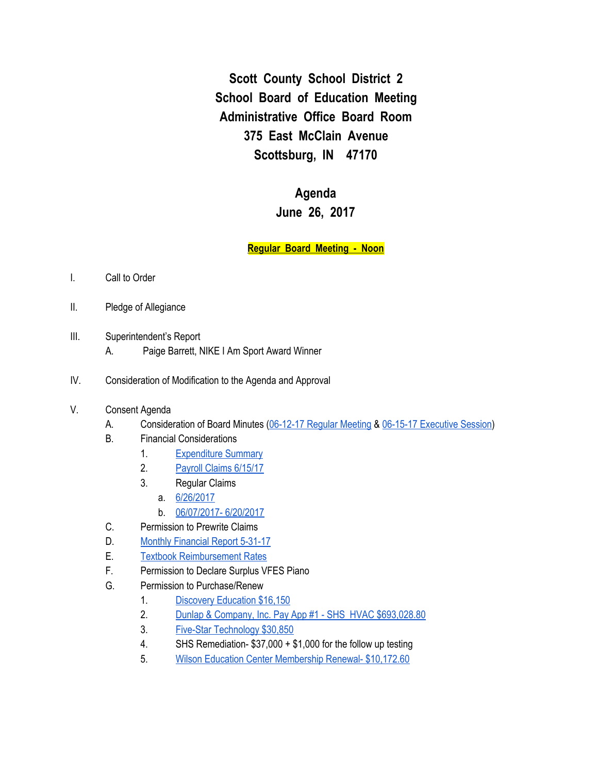**Scott County School District 2 School Board of Education Meeting Administrative Office Board Room 375 East McClain Avenue Scottsburg, IN 47170**

## **Agenda June 26, 2017**

## **Regular Board Meeting - Noon**

- I. Call to Order
- II. Pledge of Allegiance
- III. Superintendent's Report
	- A. Paige Barrett, NIKE I Am Sport Award Winner
- IV. Consideration of Modification to the Agenda and Approval
- V. Consent Agenda
	- A. Consideration of Board Minutes [\(06-12-17](https://docs.google.com/document/d/1oK1Lah23xHFPtzcrqV_IkN1oOMPeI-FcDh0pViWpUqg/edit) Regular Meeting & 06-15-17 [Executive](https://docs.google.com/document/d/1E6p5q6t2Flyej1XZSC0mGkNyzR-50T2RX_CNynEA7A8/edit) Session)
	- B. Financial Considerations
		- 1. [Expenditure](https://drive.google.com/a/scsd2.k12.in.us/file/d/0BzreXujrLCE7ZkJqbFhIbXpvWDN5RVN4S2ZNYmJuX0pQQnBr/view?usp=sharing) Summary
		- 2. Payroll Claims [6/15/17](https://drive.google.com/a/scsd2.k12.in.us/file/d/0BzreXujrLCE7d0o2dldjQWo5Y0xEQ3RTSEtmRmpRdlB3cHBN/view?usp=sharing)
		- 3. Regular Claims
			- a. [6/26/2017](https://drive.google.com/a/scsd2.k12.in.us/file/d/0BzreXujrLCE7eXhIVlJQdU9IdzhQRG9ZYl91MC1qOS15WUZr/view?usp=sharing)
			- b. [06/07/2017-](https://drive.google.com/a/scsd2.k12.in.us/file/d/0BzreXujrLCE7WklsS3YyZW5oVDFJN0Z1cU5rUXl3N1pxbDkw/view?usp=sharing) 6/20/2017
	- C. Permission to Prewrite Claims
	- D. Monthly [Financial](https://drive.google.com/file/d/0BxXvxnGh3EX1UDZ0THotQWVKeklQN2x6dm01cVh6bG9Lc0E4/view) Report 5-31-17
	- E. Textbook [Reimbursement](https://drive.google.com/a/scsd2.k12.in.us/file/d/0BzreXujrLCE7TTg1dmV6LW4xNjJ6SldCOFJUSThrTUtEWjBn/view?usp=sharing) Rates
	- F. Permission to Declare Surplus VFES Piano
	- G. Permission to Purchase/Renew
		- 1. Discovery [Education](https://drive.google.com/file/d/0BxXvxnGh3EX1QUpFZElBUl9PQ0Y1S2ZybWdfOGk3X2JELUpz/view) \$16,150
		- 2. Dunlap & Company, Inc. Pay App #1 SHS HVAC [\\$693,028.80](https://drive.google.com/file/d/0BxXvxnGh3EX1amNKdDBzR1VURTVhMmNfNnFyY2gtNUZ0SVBj/view)
		- 3. Five-Star [Technology](https://drive.google.com/file/d/0BxXvxnGh3EX1TDlrcHlXTFFTUzVRVU1jUjQ5eUIzWUN5UnJJ/view) \$30,850
		- 4. SHS Remediation- \$37,000 + \$1,000 for the follow up testing
		- 5. Wilson Education Center [Membership](https://drive.google.com/a/scsd2.k12.in.us/file/d/0BzreXujrLCE7NC1heDQ2UjdFRW12VFBmeWVoU3BRZmtIYUtn/view?usp=sharing) Renewal- \$10,172.60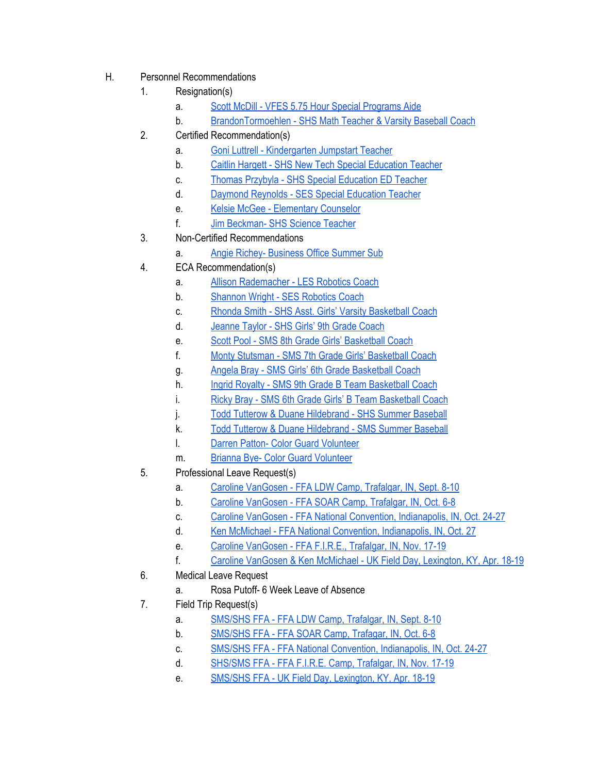- H. Personnel Recommendations
	- 1. Resignation(s)
		- a. Scott McDill VFES 5.75 Hour Special [Programs](https://drive.google.com/file/d/0BxXvxnGh3EX1NC16V1FqVm5Damw5ZTE3eWdoRWdBaW9pZmtF/view) Aide
		- b. [BrandonTormoehlen](https://drive.google.com/file/d/0BxXvxnGh3EX1Y0t4RGZJM0g2N2dMNGFlaEdDZlRCbVJONzZB/view) SHS Math Teacher & Varsity Baseball Coach
	- 2. Certified Recommendation(s)
		- a. Goni Luttrell [Kindergarten](https://drive.google.com/file/d/0BxXvxnGh3EX1RU9PSGhTTmpVTEprTlZ5MXhMNDZrMnp6ZTQ4/view) Jumpstart Teacher
		- b. Caitlin Hargett SHS New Tech Special [Education](https://drive.google.com/file/d/0BxXvxnGh3EX1Zi04blhTNWxxLTdxalM0dkhHS2ltMUlfcGVZ/view) Teacher
		- c. Thomas Przybyla SHS Special [Education](https://drive.google.com/file/d/0BxXvxnGh3EX1dm9XWDRMdk4wWmJGa2Y5QnlRcFFBbE8xdnJV/view) ED Teacher
		- d. Daymond Reynolds SES Special [Education](https://drive.google.com/a/scsd2.k12.in.us/file/d/0BzreXujrLCE7U3hzc0REM1JvSGs5OEVZaWxzVGd1bENiR3c4/view?usp=sharing) Teacher
		- e. Kelsie McGee [Elementary](https://drive.google.com/a/scsd2.k12.in.us/file/d/0BzreXujrLCE7dFBqcnFlVVFIMGNVa0doUC03bnhYVUJDTHRB/view?usp=sharing) Counselor
		- f. Jim [Beckman-](https://drive.google.com/a/scsd2.k12.in.us/file/d/0BzreXujrLCE7SC1uLXI3ZmFVc1hfRVhJUDB1azZ4MVUzQ3pn/view?usp=sharing) SHS Science Teacher
	- 3. Non-Certified Recommendations
		- a. Angie Richey- [Business](https://drive.google.com/a/scsd2.k12.in.us/file/d/0BzreXujrLCE7U2hKLTNZQTdyOUtWNnJuOFlVMHE1ZDJzYnhR/view?usp=sharing) Office Summer Sub
	- 4. ECA Recommendation(s)
		- a. Allison [Rademacher](https://drive.google.com/file/d/0BxXvxnGh3EX1YVh3aHRLWjRCdE5FVXVqRzlPM1F2UGJ3TmlN/view) LES Robotics Coach
		- b. [Shannon](https://drive.google.com/file/d/0BxXvxnGh3EX1NUZwUzJJOXdQdVRvYzYzbUpkQmk4LWlCNjM0/view) Wright SES Robotics Coach
		- c. Rhonda Smith SHS Asst. Girls' Varsity [Basketball](https://drive.google.com/file/d/0BxXvxnGh3EX1NGFLcWRmZ3NmS1c1Y2dPUVVoVFF2eTdCc1Bn/view) Coach
		- d. [Jeanne](https://drive.google.com/file/d/0BxXvxnGh3EX1N1FQcUhJY2ozV1h6QnRoT1d0SGZqc0hONTRn/view) Taylor SHS Girls' 9th Grade Coach
		- e. Scott Pool SMS 8th Grade Girls' [Basketball](https://drive.google.com/file/d/0BxXvxnGh3EX1TXlZNTJfb2VTNE84VjBkdDZUUVZIa2RZbm9j/view) Coach
		- f. Monty Stutsman SMS 7th Grade Girls' [Basketball](https://drive.google.com/file/d/0BxXvxnGh3EX1T3FQdmZMUXo5NGYzUWtpTk9xWlpKWldOQ0RJ/view) Coach
		- g. Angela Bray SMS Girls' 6th Grade [Basketball](https://drive.google.com/file/d/0BxXvxnGh3EX1d3VmRFVlVVJPM19UT0VJUEdfVGlZS0J1aHZr/view) Coach
		- h. Ingrid Royalty SMS 9th Grade B Team [Basketball](https://drive.google.com/file/d/0BxXvxnGh3EX1MEJBYURqNXFvQ2txdFdfSzJVMUFRUnJsX09j/view) Coach
		- i. Ricky Bray SMS 6th Grade Girls' B Team [Basketball](https://drive.google.com/file/d/0BxXvxnGh3EX1Tm1CT2tPWEJNa29MVGZ1dmFCdy11cnE0MHhN/view) Coach
		- j. Todd Tutterow & Duane [Hildebrand](https://drive.google.com/file/d/0BxXvxnGh3EX1M3ZRZU1hb2s1Uy1Ja1EtM2lpRnpMZUc3b25V/view) SHS Summer Baseball
		- k. Todd Tutterow & Duane [Hildebrand](https://drive.google.com/file/d/0BxXvxnGh3EX1aFpwRFFCN0luU2hrLVpZWGg0SGtZSnVyZTFj/view) SMS Summer Baseball
		- l. Darren Patton- Color Guard [Volunteer](https://drive.google.com/a/scsd2.k12.in.us/file/d/0BzreXujrLCE7NHBJVllsQTVEQks5SG5aNllaaFpoUkt5WUtR/view?usp=sharing)
		- m. Brianna Bye- Color Guard [Volunteer](https://drive.google.com/a/scsd2.k12.in.us/file/d/0BzreXujrLCE7VUp2YkhrbG9VRHM2TjExZGJZbERIaVNKbHcw/view?usp=sharing)
	- 5. Professional Leave Request(s)
		- a. Caroline [VanGosen](https://drive.google.com/file/d/0BxXvxnGh3EX1bWtBZ2ZFc1JVSC05aS1lc0lCOXFmTzlvcjlR/view) FFA LDW Camp, Trafalgar, IN, Sept. 8-10
		- b. Caroline [VanGosen](https://drive.google.com/file/d/0BxXvxnGh3EX1RENkMzlZQVFuOFZtOFZuLU5YMWFQX2VWX3Uw/view) FFA SOAR Camp, Trafalgar, IN, Oct. 6-8
		- c. Caroline VanGosen FFA National Convention, [Indianapolis,](https://drive.google.com/file/d/0BxXvxnGh3EX1dEtrUXpUWmdabl9FY2pjby1ib3RvTlhOMHdr/view) IN, Oct. 24-27
		- d. Ken McMichael FFA National Convention, [Indianapolis,](https://drive.google.com/file/d/0BxXvxnGh3EX1bFplc0ZzRkV0UEUwejBMRmtMLS1jMnd5Rm9r/view) IN, Oct. 27
		- e. Caroline [VanGosen](https://drive.google.com/file/d/0BxXvxnGh3EX1U28wdG5hOVhqMmNtMTluSUc1Yy0zbjNDbmdz/view) FFA F.I.R.E., Trafalgar, IN, Nov. 17-19
		- f. Caroline VanGosen & Ken [McMichael](https://drive.google.com/file/d/0BxXvxnGh3EX1MGU0TnBIYmIwbWNZbXVUTnpZanhPY1ZnbjlZ/view) UK Field Day, Lexington, KY, Apr. 18-19
	- 6. Medical Leave Request
		- a. Rosa Putoff- 6 Week Leave of Absence
	- 7. Field Trip Request(s)
		- a. [SMS/SHS](https://drive.google.com/file/d/0BxXvxnGh3EX1cjA5SWxUdjJGQXFyRktIbTlrQ0oxd3BFMUx3/view) FFA FFA LDW Camp, Trafalgar, IN, Sept. 8-10
		- b. [SMS/SHS](https://drive.google.com/file/d/0BxXvxnGh3EX1b3Fkdm11b1BoZjlTVmdLSVFiQS16SEYtOXNR/view) FFA FFA SOAR Camp, Trafagar, IN, Oct. 6-8
		- c. SMS/SHS FFA FFA National Convention, [Indianapolis,](https://drive.google.com/file/d/0BxXvxnGh3EX1TTNSTWppbWJIQlZVUjhjbzAtalZabHJ5N0dn/view) IN, Oct. 24-27
		- d. [SHS/SMS](https://drive.google.com/file/d/0BxXvxnGh3EX1cndfZnkweTFYZFNldzE3ZFN3SHhNRTFfc3Jj/view) FFA FFA F.I.R.E. Camp, Trafalgar, IN, Nov. 17-19
		- e. SMS/SHS FFA UK Field Day, [Lexington,](https://drive.google.com/file/d/0BxXvxnGh3EX1NmNXaGU5MWFvVXRhMlF4NDV4M0U3NFp4Tlow/view) KY, Apr. 18-19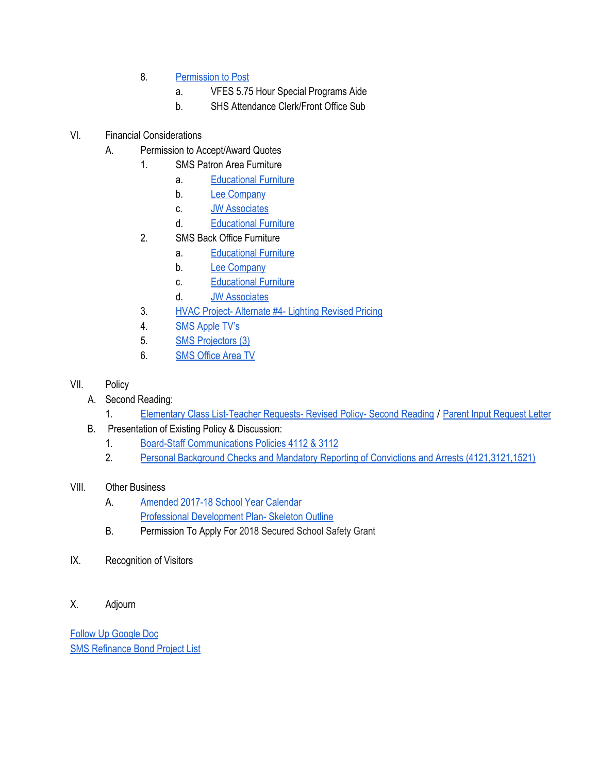- 8. [Permission](https://docs.google.com/document/d/1EkgdA6shcg2HiwGakxh7DBsv04w0wKeayevRRwUlxjU/edit) to Post
	- a. VFES 5.75 Hour Special Programs Aide
	- b. SHS Attendance Clerk/Front Office Sub

## VI. Financial Considerations

- A. Permission to Accept/Award Quotes
	- 1. SMS Patron Area Furniture
		- a. [Educational](https://drive.google.com/file/d/0BxXvxnGh3EX1NlZjdlZWcFJtdTZWdlNPV3dWOGFHSDVFX2RZ/view) Furniture
		- b. Lee [Company](https://drive.google.com/file/d/0BxXvxnGh3EX1TFBXVW1BY1hXOThudlA5UklWQUV0NnRPUFVB/view)
		- c. JW [Associates](https://drive.google.com/file/d/0BxXvxnGh3EX1ZUFra0R6ZWNLWFJjTFowcFZDY3owTWY3ZXpz/view)
		- d. [Educational](https://drive.google.com/file/d/0BxXvxnGh3EX1YVh2RE9wRG5mRmM5ME9NQzNiNEF5NUtpZkxv/view) Furniture
	- 2. SMS Back Office Furniture
		- a. [Educational](https://drive.google.com/file/d/0BxXvxnGh3EX1NXpVaE11RFlFc2xGd0hHcHlTNnZfRGpva000/view) Furniture
		- b. Lee [Company](https://drive.google.com/file/d/0BxXvxnGh3EX1VEtMZnMyTXdBQkxyU1lSM1BWNWczcXhXWlhr/view)
		- c. [Educational](https://drive.google.com/file/d/0BxXvxnGh3EX1SFNBX2NwV0N4Zlg5anR5VnRFNFBGXzZocWZZ/view) Furniture
		- d. JW [Associates](https://drive.google.com/file/d/0BxXvxnGh3EX1SlMwSktrX05vSHIwZEdSNDlITS1fLVdCZk4w/view)
	- 3. HVAC Project- [Alternate](https://drive.google.com/a/scsd2.k12.in.us/file/d/0BzreXujrLCE7M3RhRmE2VVlkVmZYYVFTRzJMbGlSZHVLMGhz/view?usp=sharing) #4- Lighting Revised Pricing
	- 4. SMS [Apple](https://drive.google.com/file/d/0BxXvxnGh3EX1U3VwOFRwVVNXby0xczlhZy1GUngxRUFqeUxz/view) TV's
	- 5. SMS [Projectors](https://drive.google.com/file/d/0BxXvxnGh3EX1Y3FNTGlTT1hPaVhvMkg0MXRIaG9kUFJyeDln/view) (3)
	- 6. SMS [Office](https://drive.google.com/file/d/0BxXvxnGh3EX1WDcwMWl6UnVhaEZPd19hNzJwbnNjUFROcThF/view) Area TV
- VII. Policy
	- A. Second Reading:
		- 1. Elementary Class [List-Teacher](https://docs.google.com/a/scsd2.k12.in.us/document/d/1Dha8ucQhXUnlxC_wKiR4Y2t3Qdkqy1c1TGYV4ec6N3Q/edit?usp=sharing) [Request](https://docs.google.com/a/scsd2.k12.in.us/document/d/1CUu0PB5MltTDo98-cc7paW8_zj0zt4xERb7BWnmwJb0/edit?usp=sharing)s- Revised Policy- Second Reading / Parent Input Request Letter
	- B. Presentation of Existing Policy & Discussion:
		- 1. Board-Staff [Communications](https://drive.google.com/file/d/0BxXvxnGh3EX1dUVnTDh6SWFXSlpBbkp3bHZrYzRKVG9Lb3c0/view) Policies 4112 & 3112
		- 2. Personal Background Checks and Mandatory Reporting of Convictions and Arrests [\(4121,3121,1521\)](https://drive.google.com/file/d/0BxXvxnGh3EX1VmZfTW5nRDBUY3lQM3dkM2V2Wlg5Q2M2RXNJ/view)

## VIII. Other Business

- A. [Amended](https://drive.google.com/a/scsd2.k12.in.us/file/d/0BzreXujrLCE7cXhpQnhZMThVVXlHTE5qOEs1SUs0M183Wmlz/view?usp=sharing) 2017-18 School Year Calendar Professional [Development](https://docs.google.com/a/scsd2.k12.in.us/document/d/1nJ6H292ApPOmF6wtiKaeLFwA19Uo8aB8mpIyfjzHeeg/edit?usp=sharing) Plan- Skeleton Outline
- B. Permission To Apply For 2018 Secured School Safety Grant
- IX. Recognition of Visitors
- X. Adjourn

Follow Up [Google](https://docs.google.com/spreadsheets/d/1EOEeKzcusDrqRM8tpJvak6-Pcg_ZdvWbj4cKxa6OL7A/edit#gid=0) Doc SMS [Refinance](https://docs.google.com/a/scsd2.k12.in.us/spreadsheets/d/1pWH3rbchcrrGXVxMMEs2ujL9rvqQGHh7KjK2C-ZYbQQ/edit?usp=sharing) Bond Project List